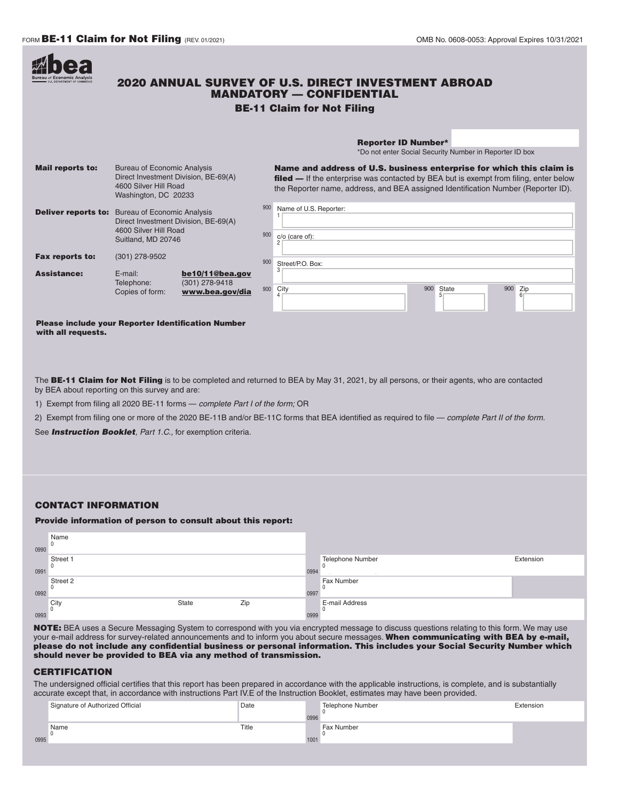

## Please include your Reporter Identification Number with all requests.

The BE-11 Claim for Not Filing is to be completed and returned to BEA by May 31, 2021, by all persons, or their agents, who are contacted by BEA about reporting on this survey and are:

1) Exempt from filing all 2020 BE-11 forms — *complete Part I of the form;* OR

2) Exempt from filing one or more of the 2020 BE-11B and/or BE-11C forms that BEA identified as required to file — *complete Part II of the form.*

See *Instruction Booklet, Part 1.C.,* for exemption criteria.

## CONTACT INFORMATION

## Provide information of person to consult about this report:

| 0990 | Name<br>0                |       |     |      |                         |           |
|------|--------------------------|-------|-----|------|-------------------------|-----------|
| 0991 | Street 1<br>0            |       |     | 0994 | <b>Telephone Number</b> | Extension |
| 0992 | Street 2<br>$\mathbf{0}$ |       |     | 0997 | Fax Number              |           |
| 0993 | City<br>$\Omega$         | State | Zip | 0999 | E-mail Address          |           |

NOTE: BEA uses a Secure Messaging System to correspond with you via encrypted message to discuss questions relating to this form. We may use your e-mail address for survey-related announcements and to inform you about secure messages. When communicating with BEA by e-mail, please do not include any confidential business or personal information. This includes your Social Security Number which should never be provided to BEA via any method of transmission.

## **CERTIFICATION**

The undersigned official certifies that this report has been prepared in accordance with the applicable instructions, is complete, and is substantially accurate except that, in accordance with instructions Part IV.E of the Instruction Booklet, estimates may have been provided.

| Title<br>Name<br>Fax Number<br>0995<br>1001 | Signature of Authorized Official | Date | Telephone Number | Extension |
|---------------------------------------------|----------------------------------|------|------------------|-----------|
|                                             |                                  |      |                  |           |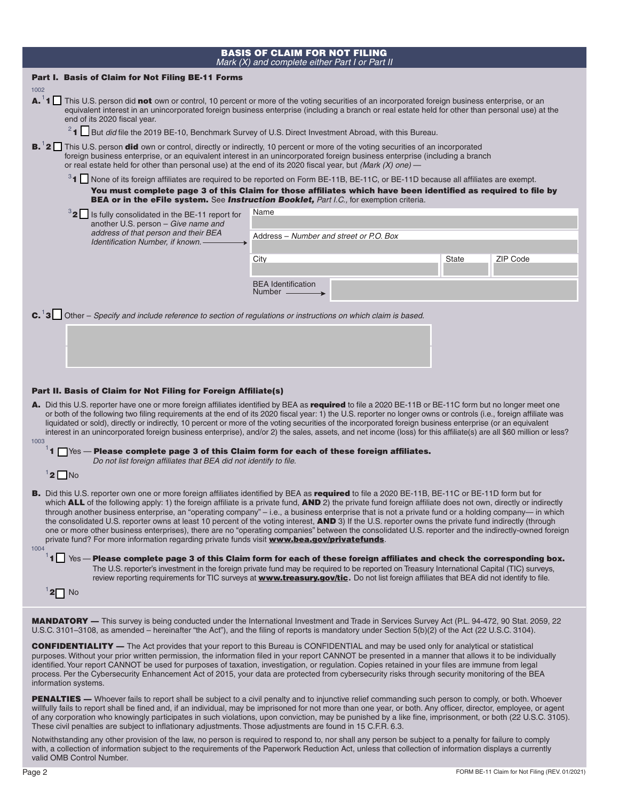|  | <b>BASIS OF CLAIM FOR NOT FILING</b>           |  |  |
|--|------------------------------------------------|--|--|
|  | Mark (X) and complete either Part I or Part II |  |  |

| Part I. Basis of Claim for Not Filing BE-11 Forms                                                                                                                                                                                                                                                                                                                                                                                                                                                                                                                                                                                                                                                                                                                                                                                                                                                                                                                                                                                                 |                                                                                                                                                                                                                                                                                                                                                            |              |                 |  |  |  |  |
|---------------------------------------------------------------------------------------------------------------------------------------------------------------------------------------------------------------------------------------------------------------------------------------------------------------------------------------------------------------------------------------------------------------------------------------------------------------------------------------------------------------------------------------------------------------------------------------------------------------------------------------------------------------------------------------------------------------------------------------------------------------------------------------------------------------------------------------------------------------------------------------------------------------------------------------------------------------------------------------------------------------------------------------------------|------------------------------------------------------------------------------------------------------------------------------------------------------------------------------------------------------------------------------------------------------------------------------------------------------------------------------------------------------------|--------------|-----------------|--|--|--|--|
| 1002<br>A. <sup>1</sup> 1 This U.S. person did not own or control, 10 percent or more of the voting securities of an incorporated foreign business enterprise, or an<br>equivalent interest in an unincorporated foreign business enterprise (including a branch or real estate held for other than personal use) at the<br>end of its 2020 fiscal year.                                                                                                                                                                                                                                                                                                                                                                                                                                                                                                                                                                                                                                                                                          |                                                                                                                                                                                                                                                                                                                                                            |              |                 |  |  |  |  |
| <sup>2</sup> 1 But did file the 2019 BE-10, Benchmark Survey of U.S. Direct Investment Abroad, with this Bureau.                                                                                                                                                                                                                                                                                                                                                                                                                                                                                                                                                                                                                                                                                                                                                                                                                                                                                                                                  |                                                                                                                                                                                                                                                                                                                                                            |              |                 |  |  |  |  |
| <b>B.</b> <sup>1</sup> 2 This U.S. person did own or control, directly or indirectly, 10 percent or more of the voting securities of an incorporated<br>foreign business enterprise, or an equivalent interest in an unincorporated foreign business enterprise (including a branch<br>or real estate held for other than personal use) at the end of its 2020 fiscal year, but (Mark $(X)$ one) —                                                                                                                                                                                                                                                                                                                                                                                                                                                                                                                                                                                                                                                |                                                                                                                                                                                                                                                                                                                                                            |              |                 |  |  |  |  |
|                                                                                                                                                                                                                                                                                                                                                                                                                                                                                                                                                                                                                                                                                                                                                                                                                                                                                                                                                                                                                                                   | <sup>3</sup> 1 None of its foreign affiliates are required to be reported on Form BE-11B, BE-11C, or BE-11D because all affiliates are exempt.<br>You must complete page 3 of this Claim for those affiliates which have been identified as required to file by<br>BEA or in the eFile system. See Instruction Booklet, Part I.C., for exemption criteria. |              |                 |  |  |  |  |
| <sup>3</sup> 2 Is fully consolidated in the BE-11 report for                                                                                                                                                                                                                                                                                                                                                                                                                                                                                                                                                                                                                                                                                                                                                                                                                                                                                                                                                                                      | Name                                                                                                                                                                                                                                                                                                                                                       |              |                 |  |  |  |  |
| another U.S. person - Give name and<br>address of that person and their BEA                                                                                                                                                                                                                                                                                                                                                                                                                                                                                                                                                                                                                                                                                                                                                                                                                                                                                                                                                                       | Address – Number and street or P.O. Box                                                                                                                                                                                                                                                                                                                    |              |                 |  |  |  |  |
| Identification Number, if known. -                                                                                                                                                                                                                                                                                                                                                                                                                                                                                                                                                                                                                                                                                                                                                                                                                                                                                                                                                                                                                |                                                                                                                                                                                                                                                                                                                                                            |              |                 |  |  |  |  |
|                                                                                                                                                                                                                                                                                                                                                                                                                                                                                                                                                                                                                                                                                                                                                                                                                                                                                                                                                                                                                                                   | City                                                                                                                                                                                                                                                                                                                                                       | <b>State</b> | <b>ZIP Code</b> |  |  |  |  |
|                                                                                                                                                                                                                                                                                                                                                                                                                                                                                                                                                                                                                                                                                                                                                                                                                                                                                                                                                                                                                                                   | <b>BEA</b> Identification<br>Number ____                                                                                                                                                                                                                                                                                                                   |              |                 |  |  |  |  |
| <b>C.</b> <sup>1</sup> 3 Other – Specify and include reference to section of regulations or instructions on which claim is based.                                                                                                                                                                                                                                                                                                                                                                                                                                                                                                                                                                                                                                                                                                                                                                                                                                                                                                                 |                                                                                                                                                                                                                                                                                                                                                            |              |                 |  |  |  |  |
|                                                                                                                                                                                                                                                                                                                                                                                                                                                                                                                                                                                                                                                                                                                                                                                                                                                                                                                                                                                                                                                   |                                                                                                                                                                                                                                                                                                                                                            |              |                 |  |  |  |  |
| Part II. Basis of Claim for Not Filing for Foreign Affiliate(s)                                                                                                                                                                                                                                                                                                                                                                                                                                                                                                                                                                                                                                                                                                                                                                                                                                                                                                                                                                                   |                                                                                                                                                                                                                                                                                                                                                            |              |                 |  |  |  |  |
| A. Did this U.S. reporter have one or more foreign affiliates identified by BEA as required to file a 2020 BE-11B or BE-11C form but no longer meet one<br>or both of the following two filing requirements at the end of its 2020 fiscal year: 1) the U.S. reporter no longer owns or controls (i.e., foreign affiliate was<br>liquidated or sold), directly or indirectly, 10 percent or more of the voting securities of the incorporated foreign business enterprise (or an equivalent                                                                                                                                                                                                                                                                                                                                                                                                                                                                                                                                                        |                                                                                                                                                                                                                                                                                                                                                            |              |                 |  |  |  |  |
| interest in an unincorporated foreign business enterprise), and/or 2) the sales, assets, and net income (loss) for this affiliate(s) are all \$60 million or less?<br>1003<br>$11$ $\Box$ Yes — Please complete page 3 of this Claim form for each of these foreign affiliates.<br>Do not list foreign affiliates that BEA did not identify to file.                                                                                                                                                                                                                                                                                                                                                                                                                                                                                                                                                                                                                                                                                              |                                                                                                                                                                                                                                                                                                                                                            |              |                 |  |  |  |  |
| $12$ No                                                                                                                                                                                                                                                                                                                                                                                                                                                                                                                                                                                                                                                                                                                                                                                                                                                                                                                                                                                                                                           |                                                                                                                                                                                                                                                                                                                                                            |              |                 |  |  |  |  |
| B. Did this U.S. reporter own one or more foreign affiliates identified by BEA as required to file a 2020 BE-11B, BE-11C or BE-11D form but for<br>which <b>ALL</b> of the following apply: 1) the foreign affiliate is a private fund, <b>AND</b> 2) the private fund foreign affiliate does not own, directly or indirectly<br>through another business enterprise, an "operating company" - i.e., a business enterprise that is not a private fund or a holding company- in which<br>the consolidated U.S. reporter owns at least 10 percent of the voting interest, AND 3) If the U.S. reporter owns the private fund indirectly (through<br>one or more other business enterprises), there are no "operating companies" between the consolidated U.S. reporter and the indirectly-owned foreign<br>private fund? For more information regarding private funds visit www.bea.gov/privatefunds.<br>1004<br>$^1$ 1 $\Box$ Yes — Please complete page 3 of this Claim form for each of these foreign affiliates and check the corresponding box. |                                                                                                                                                                                                                                                                                                                                                            |              |                 |  |  |  |  |
| $\sqrt{2}$ No                                                                                                                                                                                                                                                                                                                                                                                                                                                                                                                                                                                                                                                                                                                                                                                                                                                                                                                                                                                                                                     | The U.S. reporter's investment in the foreign private fund may be required to be reported on Treasury International Capital (TIC) surveys,<br>review reporting requirements for TIC surveys at <b>www.treasury.gov/tic.</b> Do not list foreign affiliates that BEA did not identify to file.                                                              |              |                 |  |  |  |  |
| <b>MANDATORY</b> — This survey is being conducted under the International Investment and Trade in Services Survey Act (P.L. 94-472, 90 Stat. 2059, 22                                                                                                                                                                                                                                                                                                                                                                                                                                                                                                                                                                                                                                                                                                                                                                                                                                                                                             |                                                                                                                                                                                                                                                                                                                                                            |              |                 |  |  |  |  |
| U.S.C. 3101-3108, as amended – hereinafter "the Act"), and the filing of reports is mandatory under Section 5(b)(2) of the Act (22 U.S.C. 3104).                                                                                                                                                                                                                                                                                                                                                                                                                                                                                                                                                                                                                                                                                                                                                                                                                                                                                                  |                                                                                                                                                                                                                                                                                                                                                            |              |                 |  |  |  |  |

CONFIDENTIALITY — The Act provides that your report to this Bureau is CONFIDENTIAL and may be used only for analytical or statistical purposes. Without your prior written permission, the information filed in your report CANNOT be presented in a manner that allows it to be individually identified. Your report CANNOT be used for purposes of taxation, investigation, or regulation. Copies retained in your files are immune from legal process. Per the Cybersecurity Enhancement Act of 2015, your data are protected from cybersecurity risks through security monitoring of the BEA information systems.

PENALTIES — Whoever fails to report shall be subject to a civil penalty and to injunctive relief commanding such person to comply, or both. Whoever willfully fails to report shall be fined and, if an individual, may be imprisoned for not more than one year, or both. Any officer, director, employee, or agent of any corporation who knowingly participates in such violations, upon conviction, may be punished by a like fine, imprisonment, or both (22 U.S.C. 3105). These civil penalties are subject to inflationary adjustments. Those adjustments are found in 15 C.F.R. 6.3.

Notwithstanding any other provision of the law, no person is required to respond to, nor shall any person be subject to a penalty for failure to comply with, a collection of information subject to the requirements of the Paperwork Reduction Act, unless that collection of information displays a currently valid OMB Control Number.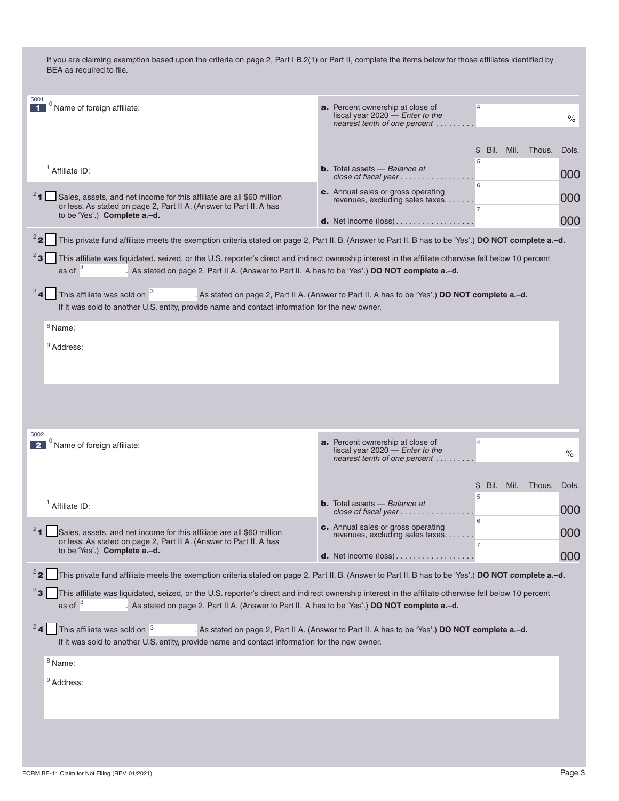| 5001<br>$^0$ Name of foreign affiliate:<br>$\blacksquare$                                                                                                                                                                                                                       | <b>a.</b> Percent ownership at close of<br>$\overline{4}$<br>fiscal year 2020 $-$ Enter to the<br>nearest tenth of one percent | $\%$  |
|---------------------------------------------------------------------------------------------------------------------------------------------------------------------------------------------------------------------------------------------------------------------------------|--------------------------------------------------------------------------------------------------------------------------------|-------|
|                                                                                                                                                                                                                                                                                 | Bil.<br>Mil.<br>Thous.<br>\$                                                                                                   | Dols. |
| $1$ Affiliate ID:                                                                                                                                                                                                                                                               | 5<br><b>b.</b> Total assets – Balance at<br>close of fiscal year $\ldots \ldots \ldots$                                        | 000   |
| <sup>2</sup> 1 Sales, assets, and net income for this affiliate are all \$60 million                                                                                                                                                                                            | 6<br>c. Annual sales or gross operating                                                                                        | 000   |
| or less. As stated on page 2, Part II A. (Answer to Part II. A has<br>to be 'Yes'.) Complete a.-d.                                                                                                                                                                              | revenues, excluding sales taxes<br>$\overline{7}$                                                                              |       |
|                                                                                                                                                                                                                                                                                 | <b>d.</b> Net income $(\text{loss})$                                                                                           | 000   |
| $^{2}$ 2<br>This private fund affiliate meets the exemption criteria stated on page 2, Part II. B. (Answer to Part II. B has to be 'Yes'.) DO NOT complete a.-d.                                                                                                                |                                                                                                                                |       |
| This affiliate was liquidated, seized, or the U.S. reporter's direct and indirect ownership interest in the affiliate otherwise fell below 10 percent<br>as of $3$<br>As stated on page 2, Part II A. (Answer to Part II. A has to be 'Yes'.) DO NOT complete a.-d.             |                                                                                                                                |       |
| $24$ This affiliate was sold on $3$<br>If it was sold to another U.S. entity, provide name and contact information for the new owner.                                                                                                                                           | . As stated on page 2, Part II A. (Answer to Part II. A has to be 'Yes'.) DO NOT complete a.-d.                                |       |
| $8$ Name:                                                                                                                                                                                                                                                                       |                                                                                                                                |       |
| <sup>9</sup> Address:                                                                                                                                                                                                                                                           |                                                                                                                                |       |
|                                                                                                                                                                                                                                                                                 |                                                                                                                                |       |
|                                                                                                                                                                                                                                                                                 |                                                                                                                                |       |
|                                                                                                                                                                                                                                                                                 |                                                                                                                                |       |
|                                                                                                                                                                                                                                                                                 |                                                                                                                                |       |
| 5002                                                                                                                                                                                                                                                                            | <b>a.</b> Percent ownership at close of<br>$\overline{4}$                                                                      |       |
| $^0$ Name of foreign affiliate:<br>$\overline{\mathbf{2}}$                                                                                                                                                                                                                      | fiscal year $2020$ – Enter to the<br>nearest tenth of one percent                                                              | $\%$  |
|                                                                                                                                                                                                                                                                                 |                                                                                                                                |       |
|                                                                                                                                                                                                                                                                                 | Bil.<br>Mil.<br>Thous.<br>\$<br>5                                                                                              | Dols. |
| $1$ Affiliate ID:                                                                                                                                                                                                                                                               | <b>b.</b> Total assets - Balance at<br>close of fiscal year                                                                    | 000   |
| 2 <sub>1</sub><br>Sales, assets, and net income for this affiliate are all \$60 million                                                                                                                                                                                         | 6<br>c. Annual sales or gross operating<br>revenues, excluding sales taxes.                                                    | 000   |
| or less. As stated on page 2, Part II A. (Answer to Part II. A has<br>to be 'Yes'.) Complete a.-d.                                                                                                                                                                              | 7                                                                                                                              |       |
|                                                                                                                                                                                                                                                                                 | <b>d.</b> Net income $(\text{loss})$                                                                                           | 000   |
| $^{2}$ 2<br>This private fund affiliate meets the exemption criteria stated on page 2, Part II. B. (Answer to Part II. B has to be 'Yes'.) DO NOT complete a.-d.                                                                                                                |                                                                                                                                |       |
| $^{2}$ 3<br>This affiliate was liquidated, seized, or the U.S. reporter's direct and indirect ownership interest in the affiliate otherwise fell below 10 percent<br>as of $3$<br>As stated on page 2, Part II A. (Answer to Part II. A has to be 'Yes'.) DO NOT complete a.-d. |                                                                                                                                |       |
| 24<br>This affiliate was sold on <sup>3</sup><br>If it was sold to another U.S. entity, provide name and contact information for the new owner.                                                                                                                                 | . As stated on page 2, Part II A. (Answer to Part II. A has to be 'Yes'.) DO NOT complete a.-d.                                |       |
| <sup>8</sup> Name:                                                                                                                                                                                                                                                              |                                                                                                                                |       |
| <sup>9</sup> Address:                                                                                                                                                                                                                                                           |                                                                                                                                |       |
|                                                                                                                                                                                                                                                                                 |                                                                                                                                |       |
|                                                                                                                                                                                                                                                                                 |                                                                                                                                |       |
|                                                                                                                                                                                                                                                                                 |                                                                                                                                |       |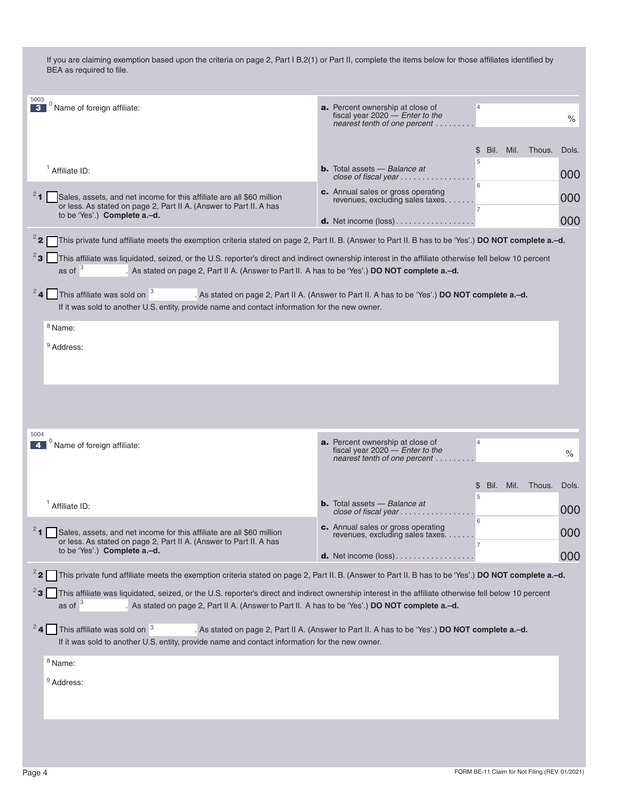| 5003<br>$\int_0^0$ Name of foreign affiliate:<br>$\mathbf{3}$                                                                                                                                                                                                                     | <b>a.</b> Percent ownership at close of<br>$\overline{4}$<br>fiscal year $2020$ - Enter to the<br>$\frac{1}{2}$<br>nearest tenth of one percent |  |  |  |
|-----------------------------------------------------------------------------------------------------------------------------------------------------------------------------------------------------------------------------------------------------------------------------------|-------------------------------------------------------------------------------------------------------------------------------------------------|--|--|--|
|                                                                                                                                                                                                                                                                                   | Bil.<br>Mil. Thous.<br>Dols.<br>\$.                                                                                                             |  |  |  |
| $1$ Affiliate ID:                                                                                                                                                                                                                                                                 | 5<br><b>b.</b> Total assets $-$ Balance at<br>000<br>close of fiscal year $\ldots \ldots \ldots \ldots$                                         |  |  |  |
| $24$ Sales, assets, and net income for this affiliate are all \$60 million                                                                                                                                                                                                        | 6<br>c. Annual sales or gross operating                                                                                                         |  |  |  |
| or less. As stated on page 2, Part II A. (Answer to Part II. A has<br>to be 'Yes'.) Complete a.-d.                                                                                                                                                                                | 000<br>revenues, excluding sales taxes.<br>$\overline{7}$                                                                                       |  |  |  |
|                                                                                                                                                                                                                                                                                   | 000<br><b>d.</b> Net income $(\text{loss})$                                                                                                     |  |  |  |
| $2^2$<br>This private fund affiliate meets the exemption criteria stated on page 2, Part II. B. (Answer to Part II. B has to be 'Yes'.) DO NOT complete a.-d.                                                                                                                     |                                                                                                                                                 |  |  |  |
| $2$ 3<br>This affiliate was liquidated, seized, or the U.S. reporter's direct and indirect ownership interest in the affiliate otherwise fell below 10 percent<br>as of $3$<br>As stated on page 2, Part II A. (Answer to Part II. A has to be 'Yes'.) DO NOT complete a.-d.      |                                                                                                                                                 |  |  |  |
| $24$ This affiliate was sold on $3$<br>If it was sold to another U.S. entity, provide name and contact information for the new owner.                                                                                                                                             | . As stated on page 2, Part II A. (Answer to Part II. A has to be 'Yes'.) DO NOT complete a.-d.                                                 |  |  |  |
| <sup>8</sup> Name:                                                                                                                                                                                                                                                                |                                                                                                                                                 |  |  |  |
| <sup>9</sup> Address:                                                                                                                                                                                                                                                             |                                                                                                                                                 |  |  |  |
|                                                                                                                                                                                                                                                                                   |                                                                                                                                                 |  |  |  |
|                                                                                                                                                                                                                                                                                   |                                                                                                                                                 |  |  |  |
|                                                                                                                                                                                                                                                                                   |                                                                                                                                                 |  |  |  |
| 5004                                                                                                                                                                                                                                                                              |                                                                                                                                                 |  |  |  |
| $0$ Name of foreign affiliate:                                                                                                                                                                                                                                                    | <b>a.</b> Percent ownership at close of<br>$\overline{4}$<br>fiscal year $2020$ - Enter to the<br>$\%$<br>nearest tenth of one percent          |  |  |  |
|                                                                                                                                                                                                                                                                                   |                                                                                                                                                 |  |  |  |
|                                                                                                                                                                                                                                                                                   | Bil.<br>Mil.<br>Thous.<br>Dols.<br>\$<br>5                                                                                                      |  |  |  |
| $1$ Affiliate ID:                                                                                                                                                                                                                                                                 | <b>b.</b> Total assets $-$ Balance at<br>000<br>close of fiscal year                                                                            |  |  |  |
| Sales, assets, and net income for this affiliate are all \$60 million                                                                                                                                                                                                             | 6<br>c. Annual sales or gross operating<br>000<br>revenues, excluding sales taxes.                                                              |  |  |  |
| or less. As stated on page 2, Part II A. (Answer to Part II. A has<br>to be 'Yes'.) Complete a.-d.                                                                                                                                                                                | 000<br><b>d.</b> Net income $(\text{loss})$                                                                                                     |  |  |  |
| $^{2}$ 2<br>This private fund affiliate meets the exemption criteria stated on page 2, Part II. B. (Answer to Part II. B has to be 'Yes'.) DO NOT complete a.-d.                                                                                                                  |                                                                                                                                                 |  |  |  |
| $^{2}$ 3<br>This affiliate was liquidated, seized, or the U.S. reporter's direct and indirect ownership interest in the affiliate otherwise fell below 10 percent<br>as of $3$<br>. As stated on page 2, Part II A. (Answer to Part II. A has to be 'Yes'.) DO NOT complete a.-d. |                                                                                                                                                 |  |  |  |
| 24<br>This affiliate was sold on <sup>3</sup><br>If it was sold to another U.S. entity, provide name and contact information for the new owner.                                                                                                                                   | . As stated on page 2, Part II A. (Answer to Part II. A has to be 'Yes'.) DO NOT complete a.-d.                                                 |  |  |  |
| $8$ Name:                                                                                                                                                                                                                                                                         |                                                                                                                                                 |  |  |  |
| <sup>9</sup> Address:                                                                                                                                                                                                                                                             |                                                                                                                                                 |  |  |  |
|                                                                                                                                                                                                                                                                                   |                                                                                                                                                 |  |  |  |
|                                                                                                                                                                                                                                                                                   |                                                                                                                                                 |  |  |  |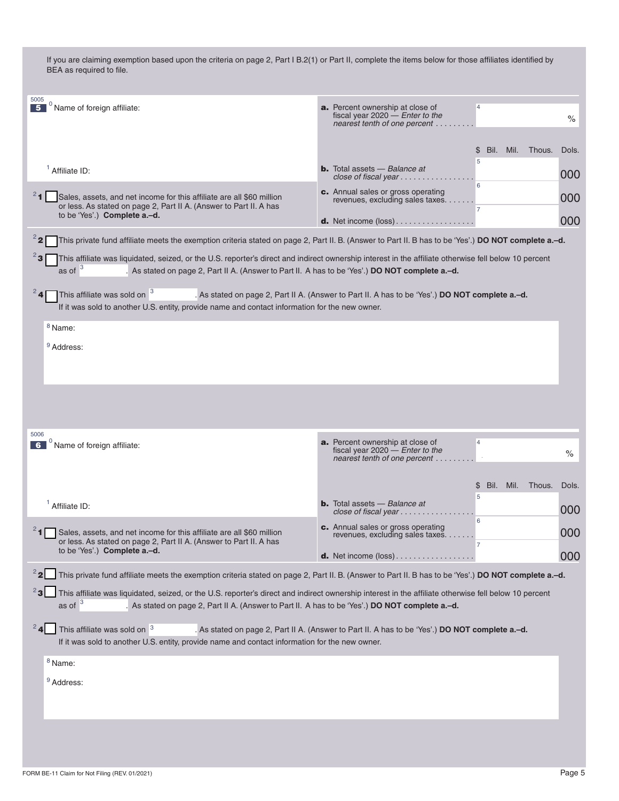| 5005<br>$^0$ Name of foreign affiliate:<br>5                                                                                                                                                                                                                                    | <b>a.</b> Percent ownership at close of<br>$\overline{4}$<br>fiscal year $2020$ - Enter to the<br>nearest tenth of one percent  | $\frac{1}{2}$ |
|---------------------------------------------------------------------------------------------------------------------------------------------------------------------------------------------------------------------------------------------------------------------------------|---------------------------------------------------------------------------------------------------------------------------------|---------------|
|                                                                                                                                                                                                                                                                                 | Bil.<br>Mil. Thous.<br>\$                                                                                                       | Dols.         |
| $1$ Affiliate ID:                                                                                                                                                                                                                                                               | 5<br><b>b.</b> Total assets $-$ Balance at                                                                                      | 000           |
|                                                                                                                                                                                                                                                                                 | close of fiscal year $\ldots \ldots \ldots$<br>6<br>c. Annual sales or gross operating                                          |               |
| $2$ 1<br>Sales, assets, and net income for this affiliate are all \$60 million<br>or less. As stated on page 2, Part II A. (Answer to Part II. A has<br>to be 'Yes'.) Complete a.-d.                                                                                            | revenues, excluding sales taxes.<br>$\overline{7}$                                                                              | 000           |
|                                                                                                                                                                                                                                                                                 | <b>d.</b> Net income $(\text{loss})$                                                                                            | 000           |
| $2^2$<br>This private fund affiliate meets the exemption criteria stated on page 2, Part II. B. (Answer to Part II. B has to be 'Yes'.) DO NOT complete a.-d.                                                                                                                   |                                                                                                                                 |               |
| $^{2}$ 3<br>This affiliate was liquidated, seized, or the U.S. reporter's direct and indirect ownership interest in the affiliate otherwise fell below 10 percent<br>as of $3$<br>As stated on page 2, Part II A. (Answer to Part II. A has to be 'Yes'.) DO NOT complete a.-d. |                                                                                                                                 |               |
| 24<br>This affiliate was sold on <sup>3</sup><br>If it was sold to another U.S. entity, provide name and contact information for the new owner.                                                                                                                                 | . As stated on page 2, Part II A. (Answer to Part II. A has to be 'Yes'.) DO NOT complete a .- d.                               |               |
| <sup>8</sup> Name:                                                                                                                                                                                                                                                              |                                                                                                                                 |               |
| <sup>9</sup> Address:                                                                                                                                                                                                                                                           |                                                                                                                                 |               |
|                                                                                                                                                                                                                                                                                 |                                                                                                                                 |               |
|                                                                                                                                                                                                                                                                                 |                                                                                                                                 |               |
|                                                                                                                                                                                                                                                                                 |                                                                                                                                 |               |
|                                                                                                                                                                                                                                                                                 |                                                                                                                                 |               |
| 5006                                                                                                                                                                                                                                                                            |                                                                                                                                 |               |
|                                                                                                                                                                                                                                                                                 |                                                                                                                                 |               |
| $0$ Name of foreign affiliate:<br>6                                                                                                                                                                                                                                             | <b>a.</b> Percent ownership at close of<br>$\overline{4}$<br>fiscal year $2020$ - Enter to the<br>nearest tenth of one percent. | $\%$          |
|                                                                                                                                                                                                                                                                                 |                                                                                                                                 |               |
|                                                                                                                                                                                                                                                                                 | Bil.<br>Mil.<br>Thous.<br>\$                                                                                                    | Dols.         |
| $1$ Affiliate ID:                                                                                                                                                                                                                                                               | 5<br><b>b.</b> Total assets $-$ Balance at<br>close of fiscal year $\ldots \ldots$                                              | 000           |
|                                                                                                                                                                                                                                                                                 | 6<br>c. Annual sales or gross operating                                                                                         |               |
| $24$ Sales, assets, and net income for this affiliate are all \$60 million<br>or less. As stated on page 2, Part II A. (Answer to Part II. A has                                                                                                                                | revenues, excluding sales taxes.                                                                                                | 000           |
| to be 'Yes'.) <b>Complete a.-d.</b>                                                                                                                                                                                                                                             | <b>d.</b> Net income $(\text{loss})$                                                                                            | 000           |
| This private fund affiliate meets the exemption criteria stated on page 2, Part II. B. (Answer to Part II. B has to be 'Yes'.) DO NOT complete a.-d.                                                                                                                            |                                                                                                                                 |               |
| This affiliate was liquidated, seized, or the U.S. reporter's direct and indirect ownership interest in the affiliate otherwise fell below 10 percent                                                                                                                           |                                                                                                                                 |               |
| as of $3$<br>. As stated on page 2, Part II A. (Answer to Part II. A has to be 'Yes'.) DO NOT complete a.-d.                                                                                                                                                                    |                                                                                                                                 |               |
| 24<br>This affiliate was sold on <sup>3</sup><br>If it was sold to another U.S. entity, provide name and contact information for the new owner.                                                                                                                                 | . As stated on page 2, Part II A. (Answer to Part II. A has to be 'Yes'.) DO NOT complete a.-d.                                 |               |
| $8$ Name:                                                                                                                                                                                                                                                                       |                                                                                                                                 |               |
| <sup>9</sup> Address:                                                                                                                                                                                                                                                           |                                                                                                                                 |               |
|                                                                                                                                                                                                                                                                                 |                                                                                                                                 |               |
|                                                                                                                                                                                                                                                                                 |                                                                                                                                 |               |